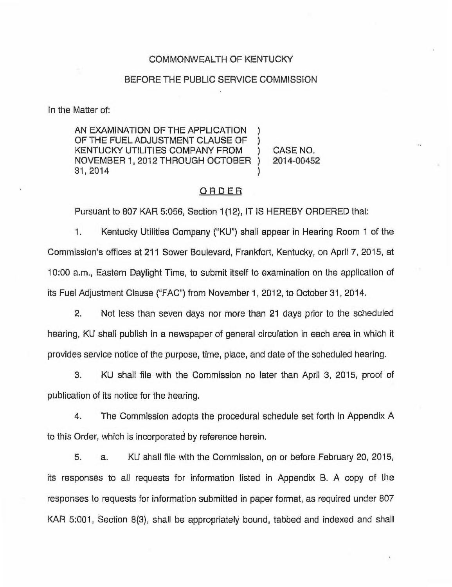### COMMONWEALTH OF KENTUCKY

### BEFORE THE PUBLIC SERVICE COMMISSION

In the Matter of:

AN EXAMINATION OF THE APPLICATION OF THE FUEL ADJUSTMENT CLAUSE OF KENTUCKY UTILITIES COMPANY FROM ) CASE NO.<br>NOVEMBER 1. 2012 THROUGH OCTOBER ) 2014-00452 NOVEMBER 1, 2012 THROUGH OCTOBER 31, 2014 )

### **ORDER**

Pursuant to 807 KAR 5:058, Section 1(12), IT IS HEREBY ORDERED that:

1. Kentucky Utilities Company ("KU") shall appear in Hearing Room <sup>1</sup> of the Commission's offices at 211 Sower Boulevard, Frankfort, Kentucky, on April 7, 2015, at 10:00 a.m., Eastern Daylight Time, to submit itself to examination on the application of its Fuel Adjustment Clause ("FAC") from November 1, 2012, to October 31, 2014.

2. Not less than seven days nor more than 21 days prior to the scheduled hearing, KU shall publish in a newspaper of general circulation in each area in which it provides service notice of the purpose, time, place, and date of the scheduled hearing.

3. KU shall file with the Commission no later than April 3, 2015, proof of publication of its notice for the hearing.

4. The Commission adopts the procedural schedule set forth in Appendix A to this Order, which is incorporated by reference herein.

5. a. KU shall file with the Commission, on or before February 20, 2015, its responses to all requests for information listed in Appendix B. A copy of the responses to requests for information submitted in paper format, as required under 807 KAR 5:001, Section 8(3), shall be appropriately bound, tabbed and indexed and shall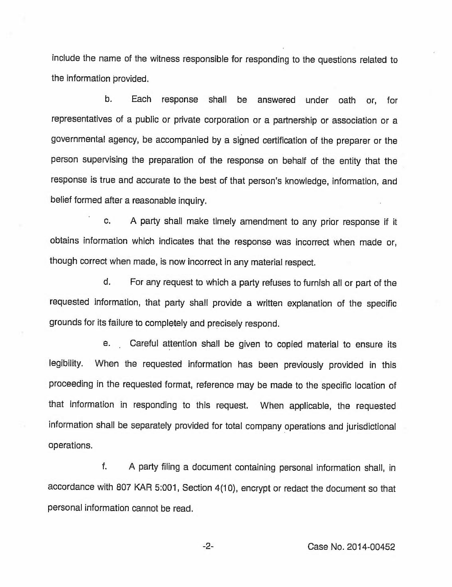include the name of the witness responsible for responding to the questions related to the information provided.

b. Each response shall be answered under oath or, for representatives of a public or private corporation or a partnership or association or a governmental agency, be accompanied by a signed certification of the preparer or the person supervising the preparation of the response on behalf of the entity that the response is true and accurate to the best of that person's knowledge, information, and belief formed after a reasonable inquiry.

c. <sup>A</sup> party shall make timely amendment to any prior response if it obtains information which indicates that the response was incorrect when made or, though correct when made, is now incorrect in any material respect.

d. For any request to which a party refuses to furnish all or part of the requested information, that party shall provide a written explanation of the specific grounds for its failure to completely and precisely respond.

e. Careful attention shall be given to copied material to ensure its legibility, When the requested information has been previously provided in this proceeding in the requested format, reference may be made to the specific location of that information in responding to this request. When applicable, the requested information shall be separately provided for total company operations and jurisdictional operations.

f. A party filing a document containing personal information shall, in accordance with 807 KAR 5:001, Section 4(10), encrypt or redact the document so that personal information cannot be read.

-2- Case No. 2014-00452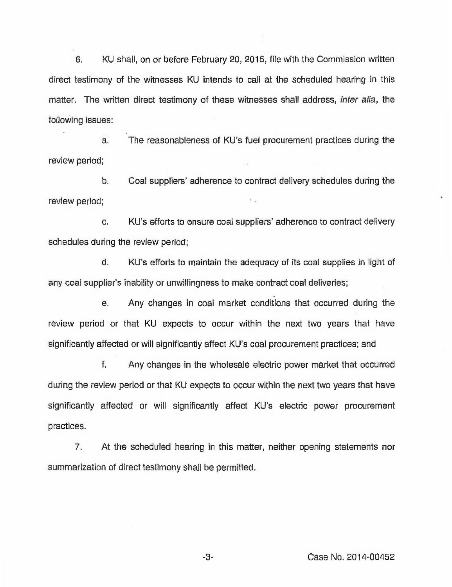6. KU shall, on or before February 20, 2015, file with the Commission written direct testimony of the witnesses KU intends to call at the scheduled hearing in this matter. The written direct testimony of these witnesses shall address, *inter alia*, the following issues:

a. The reasonableness of KU's fuel procurement practices during the review period;

b. Coal suppliers' adherence to contract delivery schedules during the review period;

c. KU's efforts to ensure coal suppliers' adherence to contract delivery schedules during the review period;

d. KU's efforts to maintain the adequacy of its coal supplies in light of any coal supplier's inability or unwillingness to make contract coal deliveries;

e. Any changes in coal market conditions that occurred during the review period or that KU expects to occur within the next two years that have significantly affected or will significantly affect KU's coal procurement practices; and

f. Any changes in the wholesale electric power market that occurred during the review period or that KU expects to occur within the next two years that have significantly affected or will significantly affect KU's electric power procurement practices.

7. At the scheduled hearing in this matter, neither opening statements nor summarization of direct testimony shall be permitted.

-3- Case No. 2014-00452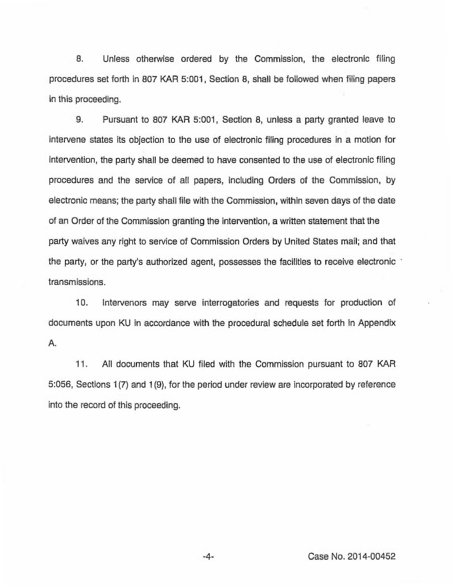8. Unless otherwise ordered by the Commission, the electronic filing procedures set forth in 807 KAR 5:001, Section 8, shall be followed when filing papers in this proceeding.

9. Pursuant to 807 KAR 5:001, Section 8, unless a party granted leave to intervene states its objection to the use of electronic filing procedures in a motion for intervention, the party shall be deemed to have consented to the use of electronic filing procedures and the service of all papers, including Orders of the Commission, by electronic means; the party shall file with the Commission, within seven days of the date of an Order of the Commission granting the intervention, a written statement that the party waives any right to service of Commission Orders by United States mail; and that the party, or the party's authorized agent, possesses the facilities to receive electronic transmissions.

10. Intervenors may serve interrogatories and requests for production of documents upon KU in accordance with the procedural schedule set forth in Appendix A.

11. All documents that KU filed with the Commission pursuant to 807 KAR 5:056, Sections 1(7) and 1(9), for the period under review are incorporated by reference into the record of this proceeding.

-4- Case No. 2014-00452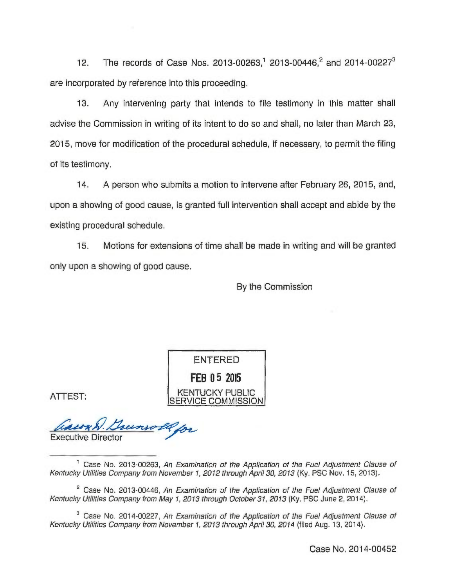12. The records of Case Nos. 2013-00263,<sup>1</sup> 2013-00446,<sup>2</sup> and 2014-00227<sup>3</sup> are incorporated by reference into this proceeding.

13. Any intervening party that intends to file testimony in this matter shall advise the Commission in writing of its intent to do so and shall, no later than March 23, 2015, move for modification of the procedural schedule, if necessary, to permit the filing of its testimony.

14. A person who submits a motion to intervene after February 26, 2015, and, upon a showing of good cause, is granted full intervention shall accept and abide by the existing procedural schedule.

15. Motions for extensions of time shall be made in writing and will be granted only upon a showing of good cause.

By the Commission

**ENTERED** FEB 05 2015 **KENTUCKY PUBLIC ERVICE COMMISSION** 

ATTEST;

asson & unwell for Executive Directo

 $2$  Case No. 2013-00446, An Examination of the Application of the Fuel Adjustment Clause of Kentucky Utilities Company from May 1, 2013 through October 31, 2013 (Ky, PSC June 2, 2014).

<sup>3</sup> Case No. 2014-00227, An Examination of the Application of the Fuel Adjustment Clause of Kentucky Utilities Company from November 1, 2013 through April 30, 2014 (flied Aug. 13, 2014).

 $1$  Case No. 2013-00263, An Examination of the Application of the Fuel Adjustment Clause of Kentucky Utilities Company from November 1, 2012 through April 30, 2013 (Ky. PSC Nov. 15, 2013).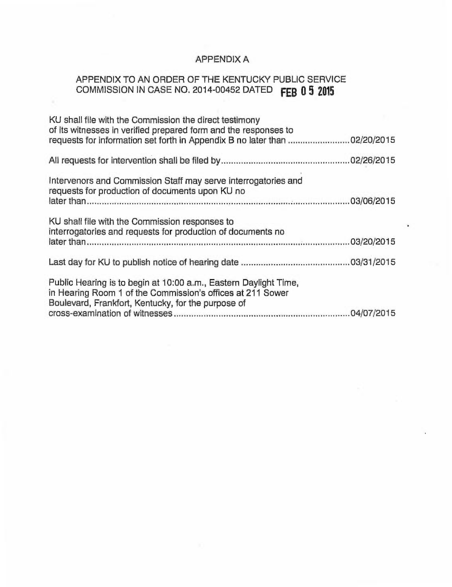## APPENDIX A

# APPENDIX TO AN ORDER OF THE KENTUCKY PUBLIC SERVICE COMMISSION IN CASE NO. 2014-00452 DATED FEB 0 5 201

 $\mathcal{H}$ 

| KU shall file with the Commission the direct testimony<br>of its witnesses in verified prepared form and the responses to<br>requests for information set forth in Appendix B no later than 02/20/2015 |  |
|--------------------------------------------------------------------------------------------------------------------------------------------------------------------------------------------------------|--|
|                                                                                                                                                                                                        |  |
| Intervenors and Commission Staff may serve interrogatories and<br>requests for production of documents upon KU no                                                                                      |  |
| KU shall file with the Commission responses to<br>interrogatories and requests for production of documents no                                                                                          |  |
|                                                                                                                                                                                                        |  |
| Public Hearing is to begin at 10:00 a.m., Eastern Daylight Time,<br>in Hearing Room 1 of the Commission's offices at 211 Sower<br>Boulevard, Frankfort, Kentucky, for the purpose of                   |  |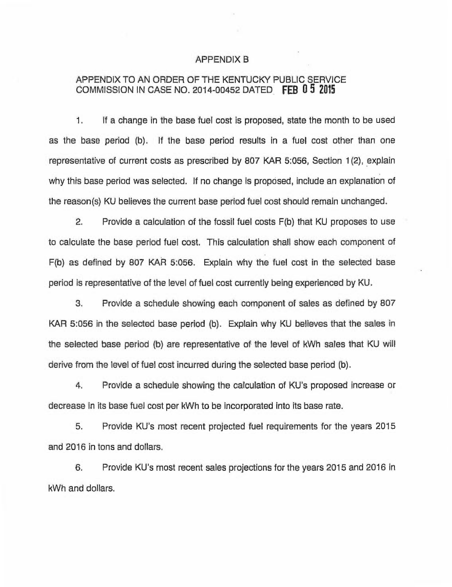#### APPENDIX B

### APPENDIX TO AN ORDER OF THE KENTUCKY PUBLIC SERVICE COMMISSION IN CASE NO. 2014-00452 DATED FEB 0 5 20I5

1. If a change in the base fuel cost is proposed, state the month to be used as the base period (b). If the base period results in a fuel cost other than one representative of current costs as prescribed by 807 KAR 5:056, Section 1(2), explain why this base period was selected. If no change is proposed, include an explanation of the reason(s) KU believes the current base period fuel cost should remain unchanged.

2. Provide a calculation of the fossil fuel costs F(b) that KU proposes to use to calculate the base period fuel cost. This calculation shall show each component of F(b) as defined by 807 KAR 5:056. Explain why the fuel cost in the selected base period is representative of the level of fuel cost currently being experienced by KU.

3. Provide a schedule showing each component of sales as defined by 807 KAR 5:056 in the selected base period (b). Explain why KU believes that the sales in the selected base period (b) are representative of the level of kWh sales that KU will derive from the level of fuel cost incurred during the selected base period (b).

4. Provide a schedule showing the calculation of KU's proposed increase or decrease in its base fuel cost per kWh to be incorporated into its base rate.

5. Provide KU's most recent projected fuel requirements for the years 2015 and 2016 in tons and dollars.

6. Provide KU's most recent sales projections for the years 2015 and 2016 in kWh and dollars.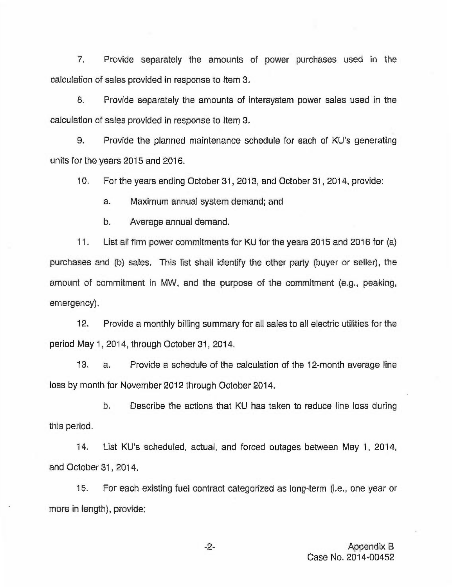7. Provide separately the amounts of power purchases used in the calculation of sales provided in response to Item 3.

B. Provide separately the amounts of intersystem power sales used in the calculation of sales provided in response to item 3.

9. Provide the planned maintenance schedule for each of KU's generating units for the years 2015 and 2016.

10. For the years ending October 31, 2013, and October 31, 2014, provide:

a. Maximum annual system demand; and

b. Average annual demand.

11. List all firm power commitments for KU for the years 2015 and 2016 for (a) purchases and (b) sales. This list shall identify the other party (buyer or seller), the amount of commitment in MW, and the purpose of the commitment (e.g., peaking, emergency).

12. Provide a monthly billing summary for all sales to all electric utilities for the period May 1, 2014, through October 31, 2014.

13. a. Provide a schedule of the calculation of the 12-month average line loss by month for November 2012 through October 2014.

b. Describe the actions that KU has taken to reduce line loss during this period.

14. List KU's scheduled, actual, and forced outages between May 1, 2014, and October 31, 2014.

15. For each existing fuel contract categorized as long-term (i.e., one year or more in length), provide:

 $-2-$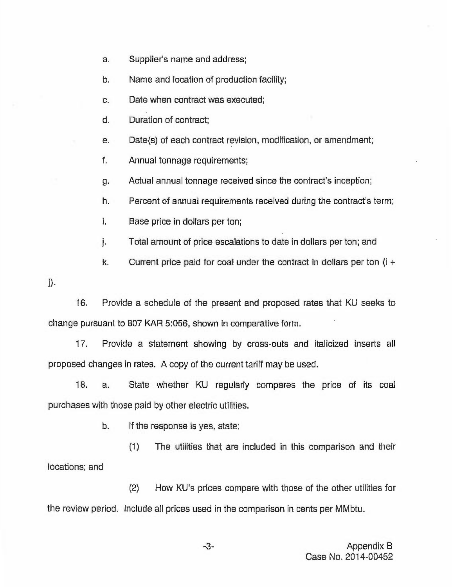- a. Supplier's name and address;
- b. Name and location of production facility;
- c. Date when contract was executed;
- d. Duration of contract;
- e. Date(s) of each contract revision, modification, or amendment;
- f. Annual tonnage requirements;
- g. Actual annual tonnage received since the contract's inception;
- h. Percent of annual requirements received during the contract's term;
- i. Base price in dollars per ton;
- j. Total amount of price escalations to date in dollars per ton; and
- k. Current price paid for coal under the contract in dollars per ton  $(i +$
- $\mathbf{i}$ .

16. Provide a schedule of the present and proposed rates that KU seeks to change pursuant to 807 KAR 5:056, shown in comparative form.

17. Provide a statement showing by cross-outs and italicized inserts all proposed changes in rates. A copy of the current tariff may be used.

18. a. State whether KU regularly compares the price of its coal purchases with those paid by other electric utilities.

b. If the response is yes, state:

(1) The utilities that are included in this comparison and their locations; and

(2) How KU's prices compare with those of the other utilities for the review period. Include all prices used in the comparison in cents per MMbtu.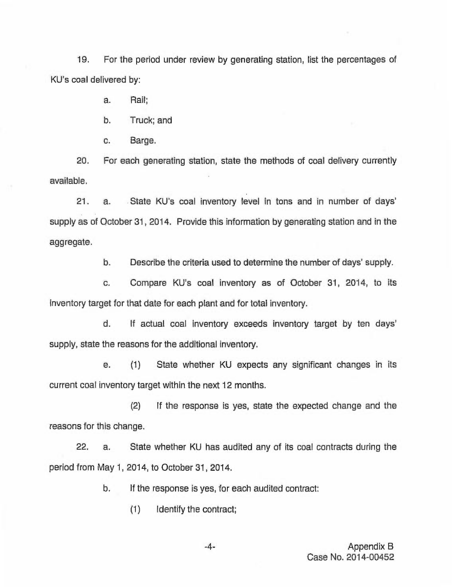19. For the period under review by generating station, list the percentages of KU's coal delivered by:

a. Rail;

b. Truck; and

c. Barge.

20. For each generating station, state the methods of coal delivery currently available.

21. a. State KU's coal inventory level in tons and in number of days' supply as of October 31, 2014. Provide this information by generating station and in the aggregate.

b. Describe the criteria used to determine the number of days' supply.

c. Compare KU's coal inventory as of October 31, 2014, to its inventory target for that date for each plant and for total inventory.

d. If actual coal inventory exceeds inventory target by ten days' supply, state the reasons for the additional inventory.

e. (1) State whether KU expects any significant changes in its current coal inventory target within the next 12 months.

(2) If the response is yes, state the expected change and the reasons for this change.

22. a. State whether KU has audited any of its coal contracts during the period from May 1, 2014, to October 31, 2014.

b. If the response is yes, for each audited contract:

(1) Identify the contract;

-4- Appendix B Case No. 2014-00452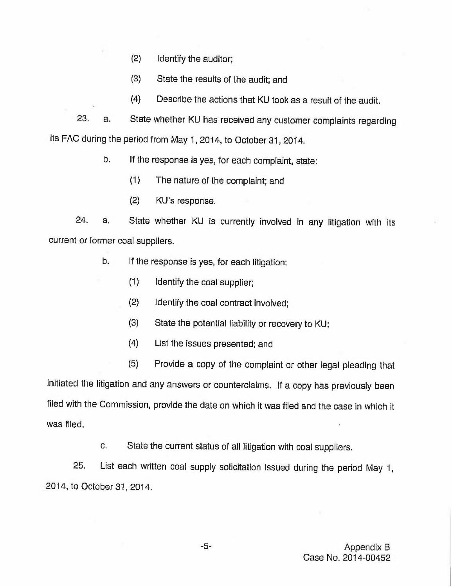- (2) Identify the auditor;
- (3) State the results of the audit; and
- (4) Describe the actions that KU took as a result of the audit.

23. a. State whether KU has received any customer complaints regarding its FAC during the period from May 1, 2014, to October 31, 2014.

b. If the response is yes, for each complaint, state:

- (1) The nature of the complaint; and
- (2) KU's response.

24. a. State whether KU is currently involved in any litigation with its current or former coal suppliers.

- b. If the response is yes, for each litigation:
	- (1) Identify the coal supplier;
	- (2) Identify the coal contract involved;
	- (3) State the potential liability or recovery to KU;
	- (4) List the issues presented; and
	- (5) Provide a copy of the complaint or other legal pleading that

initiated the litigation and any answers or counterclaims. If a copy has previously been filed with the Commission, provide the date on which it was filed and the case in which it was filed.

c. State the current status of all litigation with coal suppliers.

25. List each written coal supply solicitation issued during the period May 1, 2014, to October 31, 2014.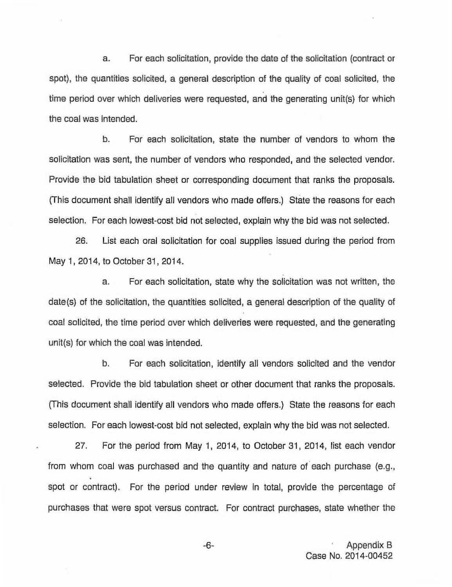a. For each solicitation, provide the date of the solicitation (contract or spot), the quantities solicited, a general description of the quality of coal solicited, the time period over which deliveries were requested, and the generating unit(s) for which the coal was intended.

b. For each solicitation, state the number of vendors to whom the solicitation was sent, the number of vendors who responded, and the selected vendor. Provide the bid tabulation sheet or corresponding document that ranks the proposals. (This document shall identify all vendors who made offers.) State the reasons for each selection. For each lowest-cost bid not selected, explain why the bid was not selected.

26. List each oral solicitation for coal supplies issued during the period from May 1, 2014, to October 31, 2014.

a. For each solicitation, state why the solicitation was not written, the date(s) of the solicitation, the quantities solicited, a general description of the quality of coal solicited, the time period over which deliveries were requested, and the generating unit(s) for which the coal was intended.

b. For each solicitation, identify all vendors solicited and the vendor selected, Provide the bid tabulation sheet or other document that ranks the proposals. (This document shall identify ail vendors who made offers.) State the reasons for each selection. For each lowest-cost bid not selected, explain why the bid was not selected.

27. For the period from May 1, 2014, to October 31, 2014, list each vendor from whom coal was purchased and the quantity and nature of each purchase (e.g., spot or contract). For the period under review in total, provide the percentage of purchases that were spot versus contract. For contract purchases, state whether the

 $-6-$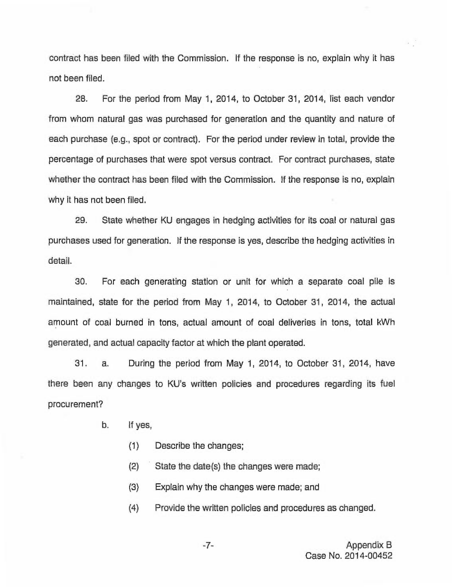contract has been filed with the Commission. If the response is no, explain why it has not been filed.

28. For the period from May 1, 2014, to October 31, 2014, list each vendor from whom natural gas was purchased for generation and the quantity and nature of each purchase (e.g., spot or contract). For the period under review in total, provide the percentage of purchases that were spot versus contract. For contract purchases, state whether the contract has been filed with the Commission. If the response is no, explain why it has not been filed.

29. State whether KU engages in hedging activities for its coal or natural gas purchases used for generation. If the response is yes, describe the hedging activities in detail.

30. For each generating station or unit for which a separate coal pile is maintained, state for the period from May 1, 2014, to October 31, 2014, the actual amount of coal burned in tons, actual amount of coal deliveries in tons, total kWh generated, and actual capacity factor at which the plant operated.

31. a. During the period from May 1, 2014, to October 31, 2014, have there been any changes to KU's written policies and procedures regarding its fuel procurement?

- b. If yes,
	- (1) Describe the changes;
	- (2) State the date(s) the changes were made;
	- (3) Explain why the changes were made; and
	- (4) Provide the written policies and procedures as changed.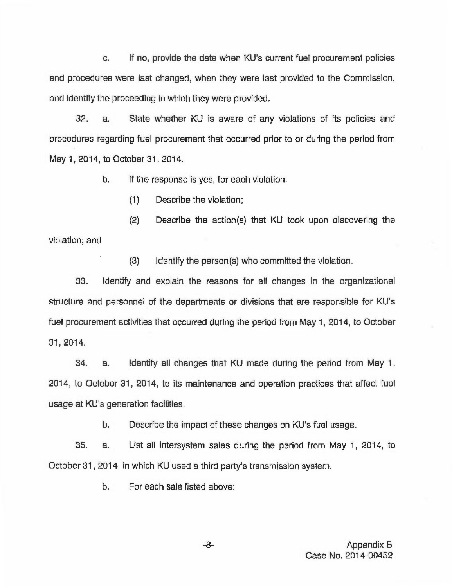c. If no, provide the date when KU's current fuel procurement policies and procedures were last changed, when they were last provided to the Commission, and identify the proceeding in which they were provided.

32. a. State whether KU is aware of any violations of its policies and procedures regarding fuel procurement that occurred prior to or during the period from May 1, 2014, to October 31, 2014.

b. If the response is yes, for each violation:

(1) Describe the violation;

(2) Describe the action(s) that KU took upon discovering the violation; and

(3) Identify the person(s) who committed the violation.

33. Identify and explain the reasons for all changes in the organizational structure and personnel of the departments or divisions that are responsible for KU's fuel procurement activities that occurred during the period from May 1, 2014, to October 31, 2014.

34. a. Identify all changes that KU made during the period from May 1, 2014, to October 31, 2014, to its maintenance and operation practices that affect fuel usage at KU's generation facilities.

b. Describe the impact of these changes on KU's fuel usage.

35. a. List all intersystem sales during the period from May 1, 2014, to October 31, 2014, in which KU used a third party's transmission system.

b. For each sale listed above: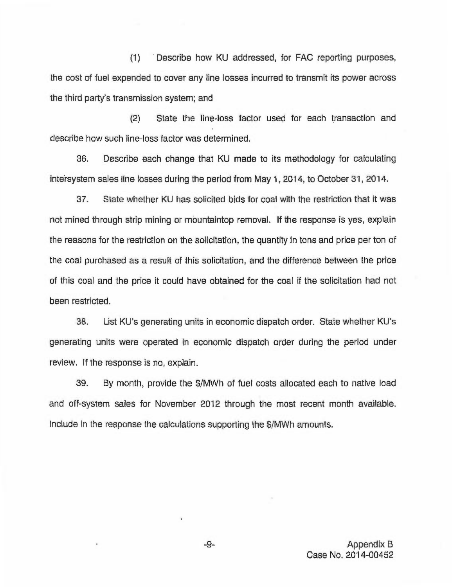(1) Describe how KU addressed, for FAC reporting purposes, the cost of fuel expended to cover any line losses incurred to transmit its power across the third party's transmission system; and

(2) State the line-loss factor used for each transaction and describe how such line-loss factor was determined.

36. Describe each change that KU made to its methodology for calculating intersystem sales line losses during the period from May 1, 2014, to October 31, 2014.

37. State whether KU has solicited bids for coal with the restriction that it was not mined through strip mining or mountaintop removal. If the response is yes, explain the reasons for the restriction on the solicitation, the quantity in tons and price per ton of the coal purchased as a result of this solicitation, and the difference between the price of this coal and the price it could have obtained for the coal if the solicitation had not been restricted.

38. List KU's generating units in economic dispatch order. State whether KU's generating units were operated in economic dispatch order during the period under review. If the response is no, explain.

39. By month, provide the \$/MWh of fuel costs allocated each to native load and off-system sales for November 2012 through the most recent month available. Include in the response the calculations supporting the \$/MWh amounts.